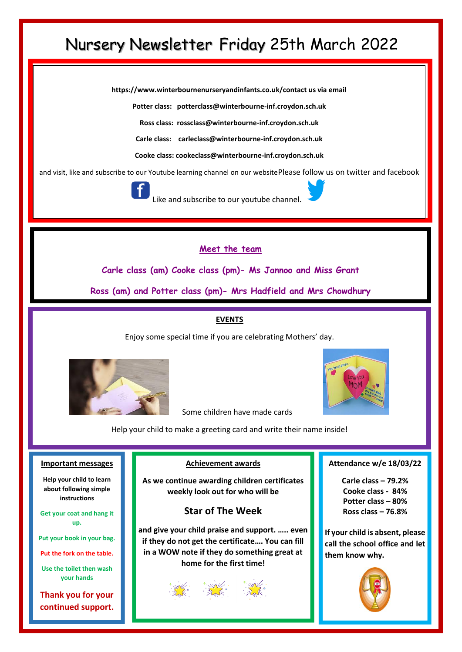# Nursery Newsletter Friday 25th March 2022

**https://www.winterbournenurseryandinfants.co.uk/contact us via email**

**Potter class: potterclass@winterbourne-inf.croydon.sch.uk**

**Ross class: rossclass@winterbourne-inf.croydon.sch.uk**

**Carle class: [carleclass@winterbourne-inf.croydon.sch.uk](mailto:carleclass@winterbourne-inf.croydon.sch.uk)**

**Cooke class: cookeclass@winterbourne-inf.croydon.sch.uk**

and visit, like and subscribe to our Youtube learning channel on our websitePlease follow us on twitter and facebook



Like and subscribe to our youtube channe

## **Meet the team**

**Carle class (am) Cooke class (pm)- Ms Jannoo and Miss Grant**

**Ross (am) and Potter class (pm)- Mrs Hadfield and Mrs Chowdhury**

#### **EVENTS**

Enjoy some special time if you are celebrating Mothers' day.





Some children have made cards

Help your child to make a greeting card and write their name inside!

#### **Important messages**

**Help your child to learn about following simple instructions**

**Get your coat and hang it up.**

**Put your book in your bag.**

**Put the fork on the table.**

**Use the toilet then wash your hands**

**Thank you for your continued support.**

#### **Achievement awards**

**As we continue awarding children certificates weekly look out for who will be**

## **Star of The Week**

**and give your child praise and support. ….. even if they do not get the certificate…. You can fill in a WOW note if they do something great at home for the first time!**

#### **Attendance w/e 18/03/22**

**Carle class – 79.2% Cooke class - 84% Potter class – 80% Ross class – 76.8%**

**If your child is absent, please call the school office and let them know why.**